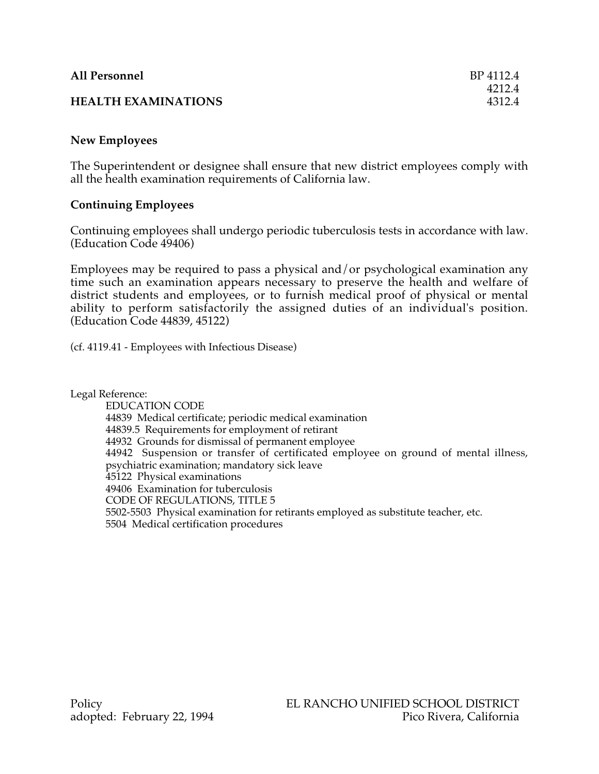| <b>All Personnel</b>       | BP 4112.4 |
|----------------------------|-----------|
|                            | 4212.4    |
| <b>HEALTH EXAMINATIONS</b> | 4312.4    |

# **New Employees**

The Superintendent or designee shall ensure that new district employees comply with all the health examination requirements of California law.

## **Continuing Employees**

Continuing employees shall undergo periodic tuberculosis tests in accordance with law. (Education Code 49406)

Employees may be required to pass a physical and/or psychological examination any time such an examination appears necessary to preserve the health and welfare of district students and employees, or to furnish medical proof of physical or mental ability to perform satisfactorily the assigned duties of an individual's position. (Education Code 44839, 45122)

(cf. 4119.41 - Employees with Infectious Disease)

Legal Reference:

EDUCATION CODE 44839 Medical certificate; periodic medical examination 44839.5 Requirements for employment of retirant 44932 Grounds for dismissal of permanent employee 44942 Suspension or transfer of certificated employee on ground of mental illness, psychiatric examination; mandatory sick leave 45122 Physical examinations 49406 Examination for tuberculosis CODE OF REGULATIONS, TITLE 5 5502-5503 Physical examination for retirants employed as substitute teacher, etc. 5504 Medical certification procedures